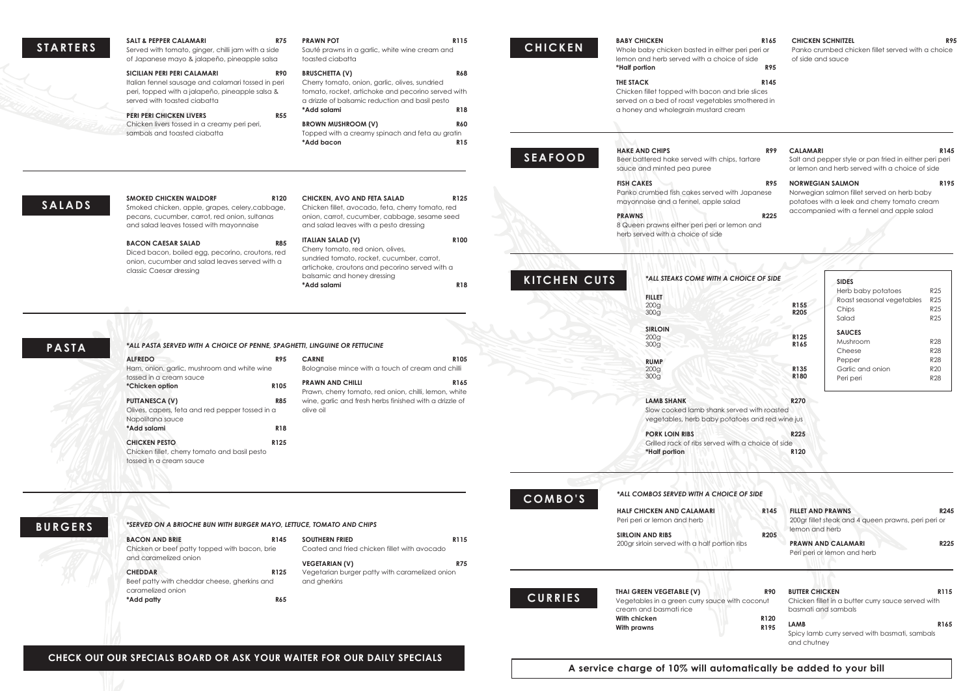## R90 BUTTER CHICKEN **R115** Chicken fillet in a butter curry sauce served with basmati and sambals **LAMB** R165 Spicy lamb curry served with basmati, sambals and chutney

## **CHECK OUT OUR SPECIALS BOARD OR ASK YOUR WAITER FOR OUR DAILY SPECIALS**

# **CURRIES**

**THAI GREEN VEGETABLE (V)** Vegetables in a green curry sauce with coconut cream and basmati rice **With chicken R120** With prawns **R195** 

**CHEDDAR** Beef patty with cheddar cheese, gherkins and caramelized onion **\*Add patty R65** R125 Vegetarian burger patty with caramelized onion and gherkins

| <b>STARTERS</b> | <b>SALT &amp; PEPPER CALAMARI</b><br><b>R75</b><br>Served with tomato, ginger, chilli jam with a side<br>of Japanese mayo & jalapeño, pineapple salsa                                                                                                                                                                                                                        | <b>PRAWN POT</b><br>R115<br>Sauté prawns in a garlic, white wine cream and<br>toasted ciabatta                                                                                                                                                                                                                                                                                                     | <b>BABY CHICKEN</b><br><b>CHICKEN</b><br>Whole baby chicken basted in either peri peri or<br>lemon and herb served with a choice of side                                                                                                                                                                    | R165<br><b>CHICKEN SCHNITZEL</b><br><b>R95</b><br>Panko crumbed chicken fillet served with a choice<br>of side and sauce                                                                                       |
|-----------------|------------------------------------------------------------------------------------------------------------------------------------------------------------------------------------------------------------------------------------------------------------------------------------------------------------------------------------------------------------------------------|----------------------------------------------------------------------------------------------------------------------------------------------------------------------------------------------------------------------------------------------------------------------------------------------------------------------------------------------------------------------------------------------------|-------------------------------------------------------------------------------------------------------------------------------------------------------------------------------------------------------------------------------------------------------------------------------------------------------------|----------------------------------------------------------------------------------------------------------------------------------------------------------------------------------------------------------------|
|                 | <b>SICILIAN PERI PERI CALAMARI</b><br><b>R90</b><br>Italian fennel sausage and calamari tossed in peri<br>peri, topped with a jalapeño, pineapple salsa &<br>served with toasted ciabatta<br><b>PERI PERI CHICKEN LIVERS</b><br><b>R55</b><br>Chicken livers tossed in a creamy peri peri,<br>sambals and toasted ciabatta                                                   | <b>R68</b><br><b>BRUSCHETTA (V)</b><br>Cherry tomato, onion, garlic, olives, sundried<br>tomato, rocket, artichoke and pecorino served with<br>a drizzle of balsamic reduction and basil pesto<br>*Add salami<br><b>R18</b><br><b>BROWN MUSHROOM (V)</b><br><b>R60</b><br>Topped with a creamy spinach and feta au gratin<br>*Add bacon<br><b>R15</b>                                              | *Half portion<br><b>THE STACK</b><br>Chicken fillet topped with bacon and brie slices<br>served on a bed of roast vegetables smothered in<br>a honey and wholegrain mustard cream<br><b>HAKE AND CHIPS</b><br><b>SEAFOOD</b><br>Beer battered hake served with chips, tartare<br>sauce and minted pea puree | <b>R95</b><br>R145<br><b>R99</b><br><b>CALAMARI</b><br>R145<br>Salt and pepper style or pan fried in either peri peri<br>or lemon and herb served with a choice of side                                        |
| <b>SALADS</b>   | <b>SMOKED CHICKEN WALDORF</b><br>R <sub>120</sub><br>Smoked chicken, apple, grapes, celery, cabbage,<br>pecans, cucumber, carrot, red onion, sultanas<br>and salad leaves tossed with mayonnaise<br><b>R85</b><br><b>BACON CAESAR SALAD</b><br>Diced bacon, boiled egg, pecorino, croutons, red<br>onion, cucumber and salad leaves served with a<br>classic Caesar dressing | R125<br><b>CHICKEN, AVO AND FETA SALAD</b><br>Chicken fillet, avocado, feta, cherry tomato, red<br>onion, carrot, cucumber, cabbage, sesame seed<br>and salad leaves with a pesto dressing<br>R100<br><b>ITALIAN SALAD (V)</b><br>Cherry tomato, red onion, olives,<br>sundried tomato, rocket, cucumber, carrot,<br>artichoke, croutons and pecorino served with a<br>balsamic and honey dressing | <b>FISH CAKES</b><br>Panko crumbed fish cakes served with Japanese<br>mayonnaise and a fennel, apple salad<br><b>PRAWNS</b><br>8 Queen prawns either peri peri or lemon and<br>herb served with a choice of side<br>KITCHEN CUTS<br>*ALL STEAKS COME WITH A CHOICE OF SIDE                                  | R195<br><b>NORWEGIAN SALMON</b><br>R95<br>Norwegian salmon fillet served on herb baby<br>potatoes with a leek and cherry tomato cream<br>accompanied with a fennel and apple salad<br><b>R225</b><br>SIDES     |
| <b>PASTA</b>    | *ALL PASTA SERVED WITH A CHOICE OF PENNE, SPAGHETTI, LINGUINE OR FETTUCINE                                                                                                                                                                                                                                                                                                   | <b>R18</b><br>*Add salami                                                                                                                                                                                                                                                                                                                                                                          | <b>FILLET</b><br>200 <sub>g</sub><br>300 <sub>g</sub><br><b>SIRLOIN</b><br>200 <sub>g</sub><br>300g                                                                                                                                                                                                         | Herb baby potatoes<br>R25<br>Roast seasonal vegetables<br>R <sub>25</sub><br>R155<br><b>R25</b><br>Chips<br>R205<br><b>R25</b><br>Salad<br><b>SAUCES</b><br>R125<br>Mushroom<br><b>R28</b><br>R <sub>165</sub> |
|                 | <b>ALFREDO</b><br><b>R95</b><br>Ham, onion, garlic, mushroom and white wine<br>tossed in a cream sauce<br>R105<br>*Chicken option<br><b>R85</b><br><b>PUTTANESCA (V)</b><br>Olives, capers, feta and red pepper tossed in a<br>Napolitana sauce<br><b>R18</b><br>*Add salami<br><b>CHICKEN PESTO</b><br>R125<br>Chicken fillet, cherry tomato and basil pesto                | <b>CARNE</b><br>R <sub>105</sub><br>Bolognaise mince with a touch of cream and chilli<br><b>PRAWN AND CHILLI</b><br>R165<br>Prawn, cherry tomato, red onion, chilli, lemon, white<br>wine, garlic and fresh herbs finished with a drizzle of<br>olive oil                                                                                                                                          | <b>RUMP</b><br>200 <sub>g</sub><br>300q<br><b>LAMB SHANK</b><br>Slow cooked lamb shank served with roasted<br>vegetables, herb baby potatoes and red wine jus<br><b>PORK LOIN RIBS</b><br>Grilled rack of ribs served with a choice of side<br>*Half portion                                                | <b>R28</b><br>Cheese<br><b>R28</b><br>Pepper<br><b>R20</b><br>R135<br>Garlic and onion<br>R <sub>180</sub><br><b>R28</b><br>Peri peri<br><b>R270</b><br>R225<br>R120                                           |
| <b>BURGERS</b>  | tossed in a cream sauce<br>*SERVED ON A BRIOCHE BUN WITH BURGER MAYO, LETTUCE, TOMATO AND CHIPS<br><b>BACON AND BRIE</b><br>R145<br>Chicken or beef patty topped with bacon, brie<br>and caramelized onion                                                                                                                                                                   | <b>SOUTHERN FRIED</b><br>R115<br>Coated and fried chicken fillet with avocado<br><b>VEGETARIAN (V)</b>                                                                                                                                                                                                                                                                                             | *ALL COMBOS SERVED WITH A CHOICE OF SIDE<br>COMBO'S<br><b>HALF CHICKEN AND CALAMARI</b><br>Peri peri or lemon and herb<br><b>SIRLOIN AND RIBS</b><br>200gr sirloin served with a half portion ribs                                                                                                          | <b>FILLET AND PRAWNS</b><br>R145<br>R245<br>200gr fillet steak and 4 queen prawns, peri peri or<br>lemon and herb<br><b>R205</b><br>R225<br><b>PRAWN AND CALAMARI</b><br>Peri peri or lemon and herb           |

**A service charge of 10% will automatically be added to your bill**